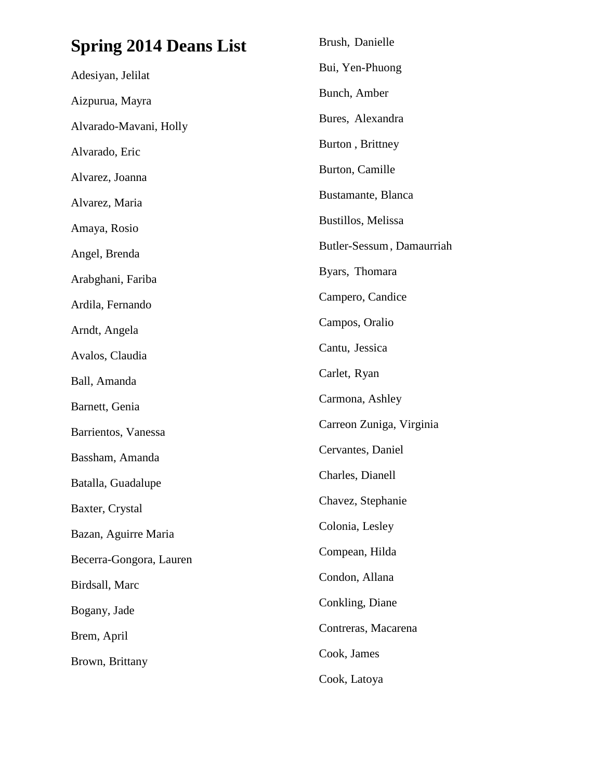| <b>Spring 2014 Deans List</b> | Brush, Danielle           |
|-------------------------------|---------------------------|
| Adesiyan, Jelilat             | Bui, Yen-Phuong           |
| Aizpurua, Mayra               | Bunch, Amber              |
| Alvarado-Mavani, Holly        | Bures, Alexandra          |
| Alvarado, Eric                | Burton, Brittney          |
| Alvarez, Joanna               | Burton, Camille           |
| Alvarez, Maria                | Bustamante, Blanca        |
| Amaya, Rosio                  | Bustillos, Melissa        |
| Angel, Brenda                 | Butler-Sessum, Damaurriah |
| Arabghani, Fariba             | Byars, Thomara            |
| Ardila, Fernando              | Campero, Candice          |
| Arndt, Angela                 | Campos, Oralio            |
| Avalos, Claudia               | Cantu, Jessica            |
| Ball, Amanda                  | Carlet, Ryan              |
| Barnett, Genia                | Carmona, Ashley           |
| Barrientos, Vanessa           | Carreon Zuniga, Virginia  |
| Bassham, Amanda               | Cervantes, Daniel         |
| Batalla, Guadalupe            | Charles, Dianell          |
| Baxter, Crystal               | Chavez, Stephanie         |
| Bazan, Aguirre Maria          | Colonia, Lesley           |
| Becerra-Gongora, Lauren       | Compean, Hilda            |
| Birdsall, Marc                | Condon, Allana            |
| Bogany, Jade                  | Conkling, Diane           |
| Brem, April                   | Contreras, Macarena       |
| Brown, Brittany               | Cook, James               |
|                               | Cook, Latoya              |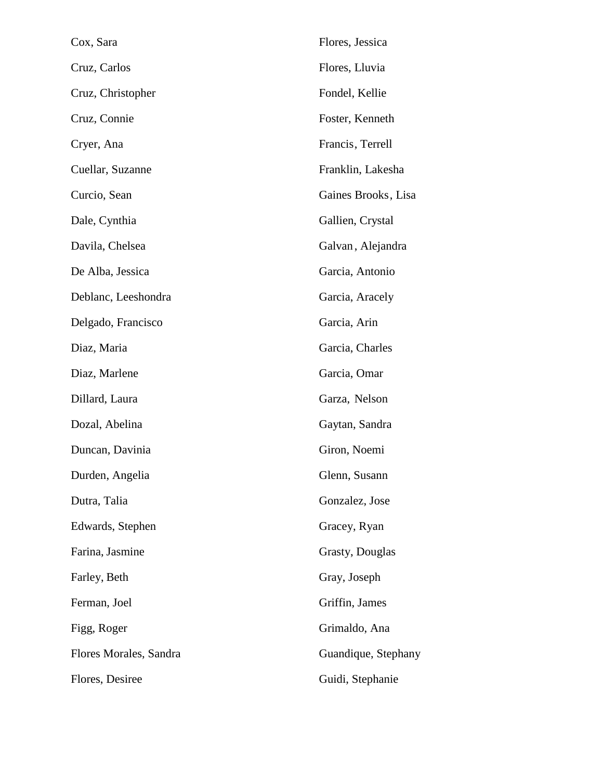| Cox, Sara              | Flores, Jessica     |
|------------------------|---------------------|
| Cruz, Carlos           | Flores, Lluvia      |
| Cruz, Christopher      | Fondel, Kellie      |
| Cruz, Connie           | Foster, Kenneth     |
| Cryer, Ana             | Francis, Terrell    |
| Cuellar, Suzanne       | Franklin, Lakesha   |
| Curcio, Sean           | Gaines Brooks, Lisa |
| Dale, Cynthia          | Gallien, Crystal    |
| Davila, Chelsea        | Galvan, Alejandra   |
| De Alba, Jessica       | Garcia, Antonio     |
| Deblanc, Leeshondra    | Garcia, Aracely     |
| Delgado, Francisco     | Garcia, Arin        |
| Diaz, Maria            | Garcia, Charles     |
| Diaz, Marlene          | Garcia, Omar        |
| Dillard, Laura         | Garza, Nelson       |
| Dozal, Abelina         | Gaytan, Sandra      |
| Duncan, Davinia        | Giron, Noemi        |
| Durden, Angelia        | Glenn, Susann       |
| Dutra, Talia           | Gonzalez, Jose      |
| Edwards, Stephen       | Gracey, Ryan        |
| Farina, Jasmine        | Grasty, Douglas     |
| Farley, Beth           | Gray, Joseph        |
| Ferman, Joel           | Griffin, James      |
| Figg, Roger            | Grimaldo, Ana       |
| Flores Morales, Sandra | Guandique, Stephany |
| Flores, Desiree        | Guidi, Stephanie    |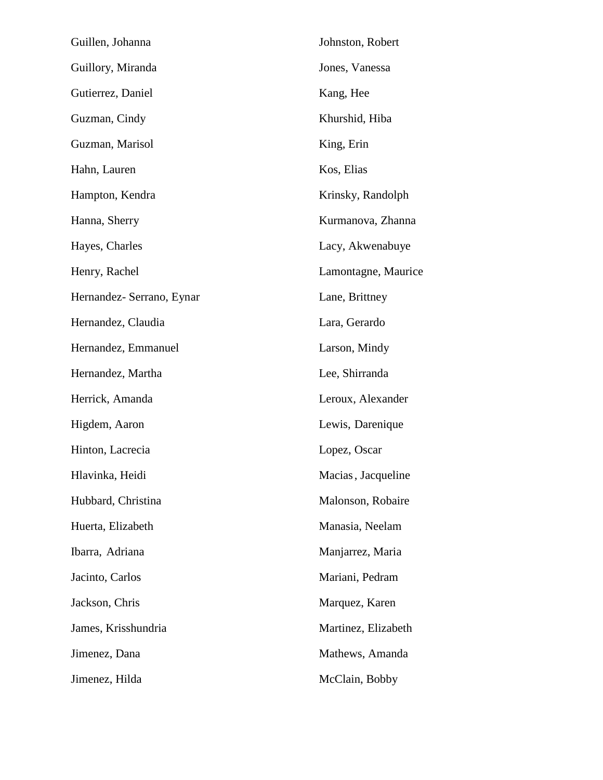| Guillen, Johanna          | Johnston, Robert    |
|---------------------------|---------------------|
| Guillory, Miranda         | Jones, Vanessa      |
| Gutierrez, Daniel         | Kang, Hee           |
| Guzman, Cindy             | Khurshid, Hiba      |
| Guzman, Marisol           | King, Erin          |
| Hahn, Lauren              | Kos, Elias          |
| Hampton, Kendra           | Krinsky, Randolph   |
| Hanna, Sherry             | Kurmanova, Zhanna   |
| Hayes, Charles            | Lacy, Akwenabuye    |
| Henry, Rachel             | Lamontagne, Maurice |
| Hernandez- Serrano, Eynar | Lane, Brittney      |
| Hernandez, Claudia        | Lara, Gerardo       |
| Hernandez, Emmanuel       | Larson, Mindy       |
| Hernandez, Martha         | Lee, Shirranda      |
| Herrick, Amanda           | Leroux, Alexander   |
| Higdem, Aaron             | Lewis, Darenique    |
| Hinton, Lacrecia          | Lopez, Oscar        |
| Hlavinka, Heidi           | Macias, Jacqueline  |
| Hubbard, Christina        | Malonson, Robaire   |
| Huerta, Elizabeth         | Manasia, Neelam     |
| Ibarra, Adriana           | Manjarrez, Maria    |
| Jacinto, Carlos           | Mariani, Pedram     |
| Jackson, Chris            | Marquez, Karen      |
| James, Krisshundria       | Martinez, Elizabeth |
| Jimenez, Dana             | Mathews, Amanda     |
| Jimenez, Hilda            | McClain, Bobby      |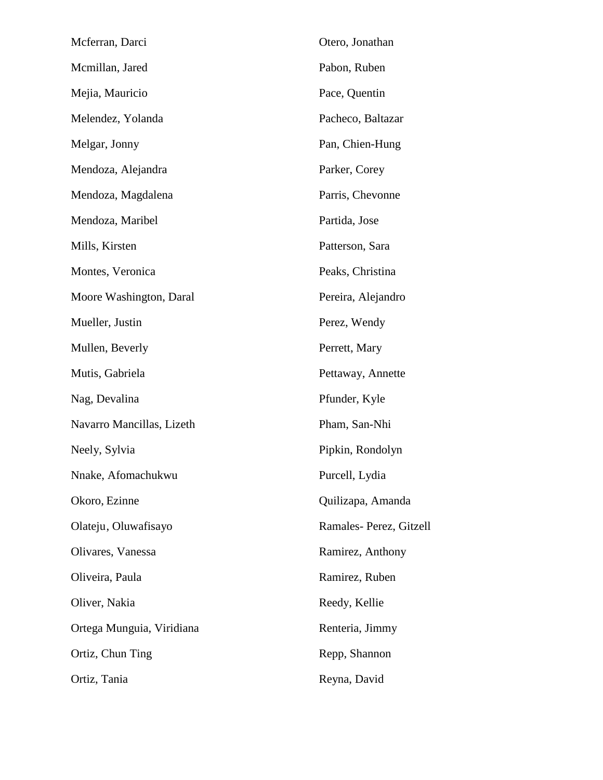| Mcferran, Darci           | Otero, Jonathan        |
|---------------------------|------------------------|
| Mcmillan, Jared           | Pabon, Ruben           |
| Mejia, Mauricio           | Pace, Quentin          |
| Melendez, Yolanda         | Pacheco, Baltazar      |
| Melgar, Jonny             | Pan, Chien-Hung        |
| Mendoza, Alejandra        | Parker, Corey          |
| Mendoza, Magdalena        | Parris, Chevonne       |
| Mendoza, Maribel          | Partida, Jose          |
| Mills, Kirsten            | Patterson, Sara        |
| Montes, Veronica          | Peaks, Christina       |
| Moore Washington, Daral   | Pereira, Alejandro     |
| Mueller, Justin           | Perez, Wendy           |
| Mullen, Beverly           | Perrett, Mary          |
| Mutis, Gabriela           | Pettaway, Annette      |
| Nag, Devalina             | Pfunder, Kyle          |
| Navarro Mancillas, Lizeth | Pham, San-Nhi          |
| Neely, Sylvia             | Pipkin, Rondolyn       |
| Nnake, Afomachukwu        | Purcell, Lydia         |
| Okoro, Ezinne             | Quilizapa, Amanda      |
| Olateju, Oluwafisayo      | Ramales-Perez, Gitzell |
| Olivares, Vanessa         | Ramirez, Anthony       |
| Oliveira, Paula           | Ramirez, Ruben         |
| Oliver, Nakia             | Reedy, Kellie          |
| Ortega Munguia, Viridiana | Renteria, Jimmy        |
| Ortiz, Chun Ting          | Repp, Shannon          |
| Ortiz, Tania              | Reyna, David           |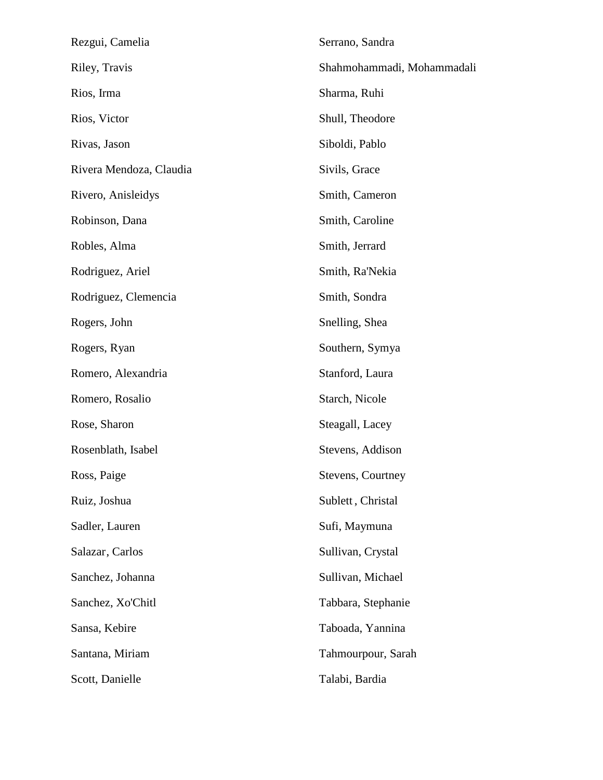| Rezgui, Camelia         | Serrano, Sandra            |  |
|-------------------------|----------------------------|--|
| Riley, Travis           | Shahmohammadi, Mohammadali |  |
| Rios, Irma              | Sharma, Ruhi               |  |
| Rios, Victor            | Shull, Theodore            |  |
| Rivas, Jason            | Siboldi, Pablo             |  |
| Rivera Mendoza, Claudia | Sivils, Grace              |  |
| Rivero, Anisleidys      | Smith, Cameron             |  |
| Robinson, Dana          | Smith, Caroline            |  |
| Robles, Alma            | Smith, Jerrard             |  |
| Rodriguez, Ariel        | Smith, Ra'Nekia            |  |
| Rodriguez, Clemencia    | Smith, Sondra              |  |
| Rogers, John            | Snelling, Shea             |  |
| Rogers, Ryan            | Southern, Symya            |  |
| Romero, Alexandria      | Stanford, Laura            |  |
| Romero, Rosalio         | Starch, Nicole             |  |
| Rose, Sharon            | Steagall, Lacey            |  |
| Rosenblath, Isabel      | Stevens, Addison           |  |
| Ross, Paige             | Stevens, Courtney          |  |
| Ruiz, Joshua            | Sublett, Christal          |  |
| Sadler, Lauren          | Sufi, Maymuna              |  |
| Salazar, Carlos         | Sullivan, Crystal          |  |
| Sanchez, Johanna        | Sullivan, Michael          |  |
| Sanchez, Xo'Chitl       | Tabbara, Stephanie         |  |
| Sansa, Kebire           | Taboada, Yannina           |  |
| Santana, Miriam         | Tahmourpour, Sarah         |  |
| Scott, Danielle         | Talabi, Bardia             |  |